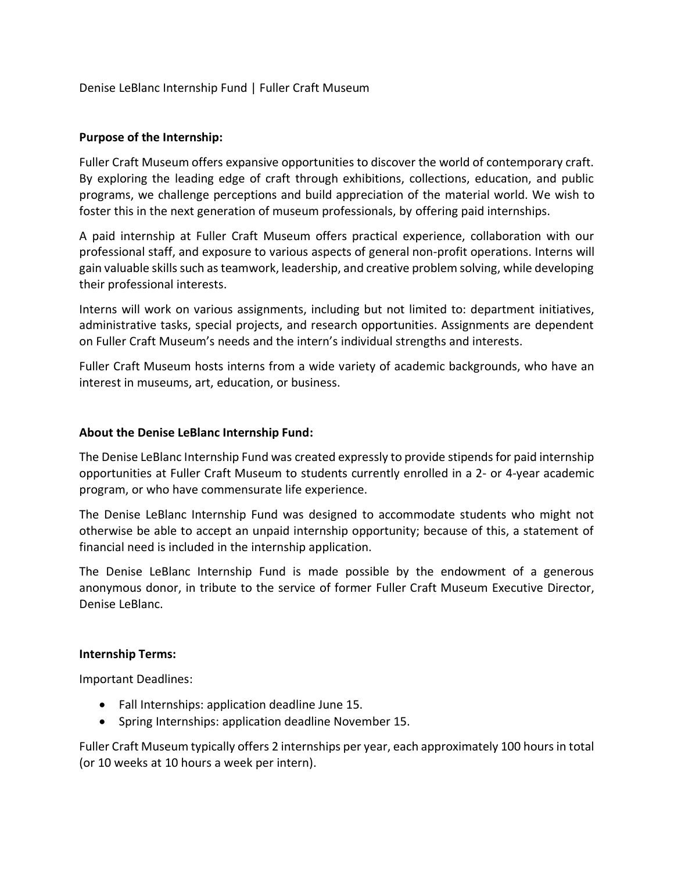Denise LeBlanc Internship Fund | Fuller Craft Museum

#### **Purpose of the Internship:**

Fuller Craft Museum offers expansive opportunities to discover the world of contemporary craft. By exploring the leading edge of craft through exhibitions, collections, education, and public programs, we challenge perceptions and build appreciation of the material world. We wish to foster this in the next generation of museum professionals, by offering paid internships.

A paid internship at Fuller Craft Museum offers practical experience, collaboration with our professional staff, and exposure to various aspects of general non-profit operations. Interns will gain valuable skills such as teamwork, leadership, and creative problem solving, while developing their professional interests.

Interns will work on various assignments, including but not limited to: department initiatives, administrative tasks, special projects, and research opportunities. Assignments are dependent on Fuller Craft Museum's needs and the intern's individual strengths and interests.

Fuller Craft Museum hosts interns from a wide variety of academic backgrounds, who have an interest in museums, art, education, or business.

#### **About the Denise LeBlanc Internship Fund:**

The Denise LeBlanc Internship Fund was created expressly to provide stipends for paid internship opportunities at Fuller Craft Museum to students currently enrolled in a 2- or 4-year academic program, or who have commensurate life experience.

The Denise LeBlanc Internship Fund was designed to accommodate students who might not otherwise be able to accept an unpaid internship opportunity; because of this, a statement of financial need is included in the internship application.

The Denise LeBlanc Internship Fund is made possible by the endowment of a generous anonymous donor, in tribute to the service of former Fuller Craft Museum Executive Director, Denise LeBlanc.

#### **Internship Terms:**

Important Deadlines:

- Fall Internships: application deadline June 15.
- Spring Internships: application deadline November 15.

Fuller Craft Museum typically offers 2 internships per year, each approximately 100 hours in total (or 10 weeks at 10 hours a week per intern).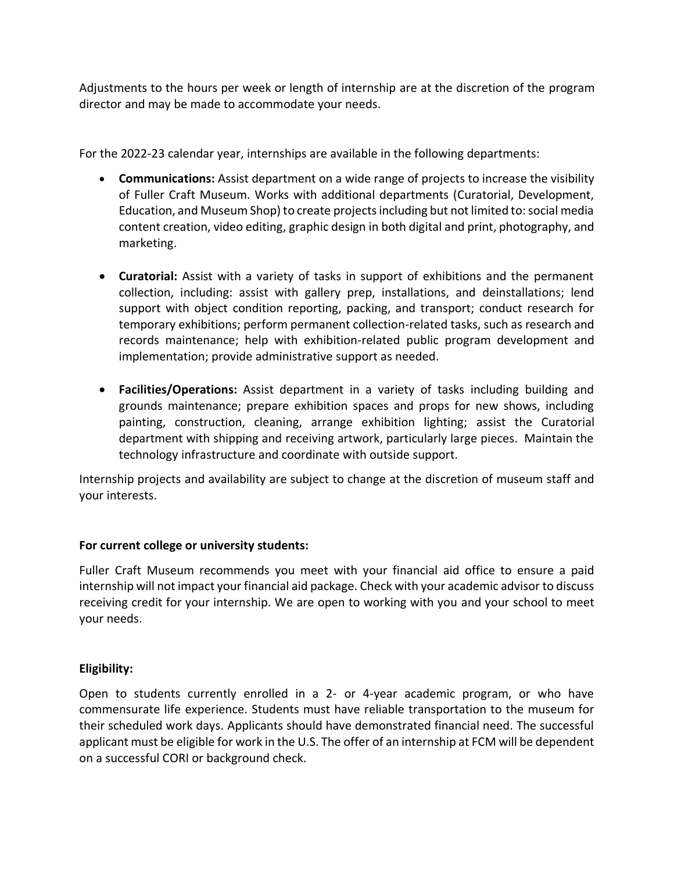Adjustments to the hours per week or length of internship are at the discretion of the program director and may be made to accommodate your needs.

For the 2022-23 calendar year, internships are available in the following departments:

- **Communications:** Assist department on a wide range of projects to increase the visibility of Fuller Craft Museum. Works with additional departments (Curatorial, Development, Education, and Museum Shop) to create projects including but not limited to: social media content creation, video editing, graphic design in both digital and print, photography, and marketing.
- **Curatorial:** Assist with a variety of tasks in support of exhibitions and the permanent collection, including: assist with gallery prep, installations, and deinstallations; lend support with object condition reporting, packing, and transport; conduct research for temporary exhibitions; perform permanent collection-related tasks, such as research and records maintenance; help with exhibition-related public program development and implementation; provide administrative support as needed.
- **Facilities/Operations:** Assist department in a variety of tasks including building and grounds maintenance; prepare exhibition spaces and props for new shows, including painting, construction, cleaning, arrange exhibition lighting; assist the Curatorial department with shipping and receiving artwork, particularly large pieces. Maintain the technology infrastructure and coordinate with outside support.

Internship projects and availability are subject to change at the discretion of museum staff and your interests.

# **For current college or university students:**

Fuller Craft Museum recommends you meet with your financial aid office to ensure a paid internship will not impact your financial aid package. Check with your academic advisor to discuss receiving credit for your internship. We are open to working with you and your school to meet your needs.

# **Eligibility:**

Open to students currently enrolled in a 2- or 4-year academic program, or who have commensurate life experience. Students must have reliable transportation to the museum for their scheduled work days. Applicants should have demonstrated financial need. The successful applicant must be eligible for work in the U.S. The offer of an internship at FCM will be dependent on a successful CORI or background check.